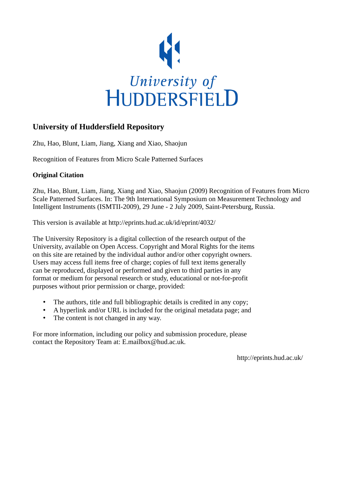

# **University of Huddersfield Repository**

Zhu, Hao, Blunt, Liam, Jiang, Xiang and Xiao, Shaojun

Recognition of Features from Micro Scale Patterned Surfaces

# **Original Citation**

Zhu, Hao, Blunt, Liam, Jiang, Xiang and Xiao, Shaojun (2009) Recognition of Features from Micro Scale Patterned Surfaces. In: The 9th International Symposium on Measurement Technology and Intelligent Instruments (ISMTII-2009), 29 June - 2 July 2009, Saint-Petersburg, Russia.

This version is available at http://eprints.hud.ac.uk/id/eprint/4032/

The University Repository is a digital collection of the research output of the University, available on Open Access. Copyright and Moral Rights for the items on this site are retained by the individual author and/or other copyright owners. Users may access full items free of charge; copies of full text items generally can be reproduced, displayed or performed and given to third parties in any format or medium for personal research or study, educational or not-for-profit purposes without prior permission or charge, provided:

- The authors, title and full bibliographic details is credited in any copy;
- A hyperlink and/or URL is included for the original metadata page; and
- The content is not changed in any way.

For more information, including our policy and submission procedure, please contact the Repository Team at: E.mailbox@hud.ac.uk.

http://eprints.hud.ac.uk/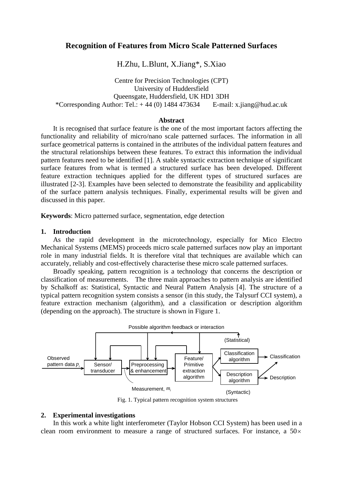# **Recognition of Features from Micro Scale Patterned Surfaces**

# H.Zhu, L.Blunt, X.Jiang\*, S.Xiao

Centre for Precision Technologies (CPT) University of Huddersfield Queensgate, Huddersfield, UK HD1 3DH \*Corresponding Author: Tel.:  $+ 44 (0) 1484 473634$  E-mail: x.jiang@hud.ac.uk

#### **Abstract**

It is recognised that surface feature is the one of the most important factors affecting the functionality and reliability of micro/nano scale patterned surfaces. The information in all surface geometrical patterns is contained in the attributes of the individual pattern features and the structural relationships between these features. To extract this information the individual pattern features need to be identified [1]. A stable syntactic extraction technique of significant surface features from what is termed a structured surface has been developed. Different feature extraction techniques applied for the different types of structured surfaces are illustrated [2-3]. Examples have been selected to demonstrate the feasibility and applicability of the surface pattern analysis techniques. Finally, experimental results will be given and discussed in this paper.

**Keywords**: Micro patterned surface, segmentation, edge detection

#### **1. Introduction**

As the rapid development in the microtechnology, especially for Mico Electro Mechanical Systems (MEMS) proceeds micro scale patterned surfaces now play an important role in many industrial fields. It is therefore vital that techniques are available which can accurately, reliably and cost-effectively characterise these micro scale patterned surfaces.

Broadly speaking, pattern recognition is a technology that concerns the description or classification of measurements. The three main approaches to pattern analysis are identified by Schalkoff as: Statistical, Syntactic and Neural Pattern Analysis [4]. The structure of a typical pattern recognition system consists a sensor (in this study, the Talysurf CCI system), a feature extraction mechanism (algorithm), and a classification or description algorithm (depending on the approach). The structure is shown in Figure 1.



Fig. 1. Typical pattern recognition system structures

### **2. Experimental investigations**

In this work a white light interferometer (Taylor Hobson CCI System) has been used in a clean room environment to measure a range of structured surfaces. For instance, a  $50\times$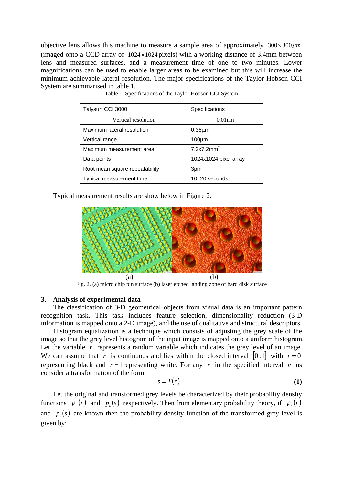objective lens allows this machine to measure a sample area of approximately  $300 \times 300 \mu m$ (imaged onto a CCD array of  $1024 \times 1024$  pixels) with a working distance of 3.4mm between lens and measured surfaces, and a measurement time of one to two minutes. Lower magnifications can be used to enable larger areas to be examined but this will increase the minimum achievable lateral resolution. The major specifications of the Taylor Hobson CCI System are summarised in table 1.

| Talysurf CCI 3000              | Specifications         |
|--------------------------------|------------------------|
| Vertical resolution            | 0.01nm                 |
| Maximum lateral resolution     | $0.36 \mu m$           |
| Vertical range                 | $100 \mu m$            |
| Maximum measurement area       | 7.2x7.2mm <sup>2</sup> |
| Data points                    | 1024x1024 pixel array  |
| Root mean square repeatability | 3pm                    |
| Typical measurement time       | 10-20 seconds          |

Table 1. Specifications of the Taylor Hobson CCI System

Typical measurement results are show below in Figure 2.



Fig. 2. (a) micro chip pin surface (b) laser etched landing zone of hard disk surface

### **3. Analysis of experimental data**

The classification of 3-D geometrical objects from visual data is an important pattern recognition task. This task includes feature selection, dimensionality reduction (3-D information is mapped onto a 2-D image), and the use of qualitative and structural descriptors.

Histogram equalization is a technique which consists of adjusting the grey scale of the image so that the grey level histogram of the input image is mapped onto a uniform histogram. Let the variable r represents a random variable which indicates the grey level of an image. We can assume that *r* is continuous and lies within the closed interval  $[0:1]$  with  $r=0$ representing black and  $r = 1$  representing white. For any  $r$  in the specified interval let us consider a transformation of the form.

$$
s = T(r) \tag{1}
$$

Let the original and transformed grey levels be characterized by their probability density functions  $p_r(r)$  and  $p_s(s)$  respectively. Then from elementary probability theory, if  $p_r(r)$ and  $p<sub>s</sub>(s)$  are known then the probability density function of the transformed grey level is given by: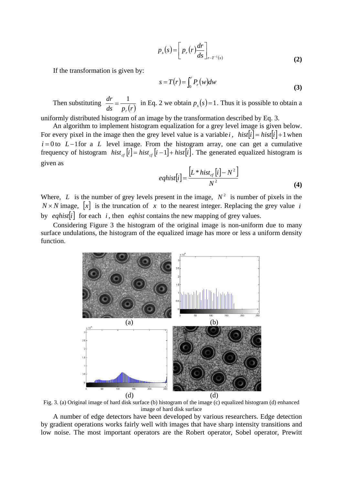$$
p_s(s) = \left[ p_r(r) \frac{dr}{ds} \right]_{r - T^{-1}(s)}
$$
 (2)

If the transformation is given by:

$$
s = T(r) = \int_0^r P_r(w) dw
$$
 (3)

Then substituting  $\frac{dr}{ds} = \frac{1}{p_r(r)}$ *r*  $=\frac{1}{\sqrt{1-\lambda}}$  in Eq. 2 we obtain  $p_s(s)=1$ . Thus it is possible to obtain a

uniformly distributed histogram of an image by the transformation described by Eq. 3.

An algorithm to implement histogram equalization for a grey level image is given below. For every pixel in the image then the grey level value is a variable *i*,  $hist[i] = hist[i] + 1$  when  $i = 0$  to  $L - 1$  for a  $L$  level image. From the histogram array, one can get a cumulative frequency of histogram  $hist_{cf}[i] = hist_{cf}[i-1] + hist[i]$ . The generated equalized histogram is given as

$$
eqhist[i] = \frac{\left[L * hist_{cf}[i] - N^2\right]}{N^2}
$$
\n(4)

Where, *L* is the number of grey levels present in the image,  $N^2$  is number of pixels in the  $N \times N$  image, [x] is the truncation of *x* to the nearest integer. Replacing the grey value *i* by *eqhist* $[i]$  for each *i*, then *eqhist* contains the new mapping of grey values.

Considering Figure 3 the histogram of the original image is non-uniform due to many surface undulations, the histogram of the equalized image has more or less a uniform density function.



Fig. 3. (a) Original image of hard disk surface (b) histogram of the image (c) equalized histogram (d) enhanced image of hard disk surface

A number of edge detectors have been developed by various researchers. Edge detection by gradient operations works fairly well with images that have sharp intensity transitions and low noise. The most important operators are the Robert operator, Sobel operator, Prewitt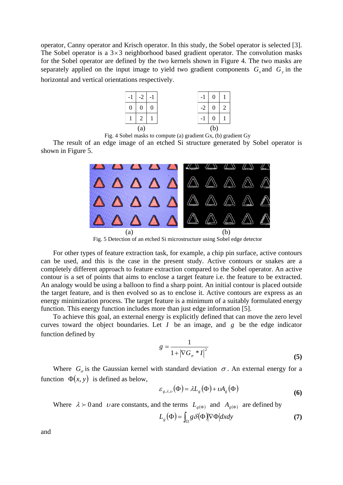operator, Canny operator and Krisch operator. In this study, the Sobel operator is selected [3]. The Sobel operator is a  $3\times 3$  neighborhood based gradient operator. The convolution masks for the Sobel operator are defined by the two kernels shown in Figure 4. The two masks are separately applied on the input image to yield two gradient components  $G<sub>x</sub>$  and  $G<sub>y</sub>$  in the horizontal and vertical orientations respectively.



Fig. 4 Sobel masks to compute (a) gradient Gx, (b) gradient Gy

The result of an edge image of an etched Si structure generated by Sobel operator is shown in Figure 5.



Fig. 5 Detection of an etched Si microstructure using Sobel edge detector

For other types of feature extraction task, for example, a chip pin surface, active contours can be used, and this is the case in the present study. Active contours or snakes are a completely different approach to feature extraction compared to the Sobel operator. An active contour is a set of points that aims to enclose a target feature i.e. the feature to be extracted. An analogy would be using a balloon to find a sharp point. An initial contour is placed outside the target feature, and is then evolved so as to enclose it. Active contours are express as an energy minimization process. The target feature is a minimum of a suitably formulated energy function. This energy function includes more than just edge information [5].

To achieve this goal, an external energy is explicitly defined that can move the zero level curves toward the object boundaries. Let  $I$  be an image, and  $g$  be the edge indicator function defined by

$$
g = \frac{1}{1 + |\nabla G_{\sigma} * I|^2}
$$
\n(5)

Where  $G_{\sigma}$  is the Gaussian kernel with standard deviation  $\sigma$ . An external energy for a function  $\Phi(x, y)$  is defined as below,

$$
\varepsilon_{g,\lambda,\nu}(\Phi) = \lambda L_g(\Phi) + \nu A_g(\Phi)
$$
\n(6)

Where  $\lambda > 0$  and *v* are constants, and the terms  $L_{g(\Phi)}$  and  $A_{g(\Phi)}$  are defined by

$$
L_g(\Phi) = \int_{\Omega} g \, \delta(\Phi) |\nabla \Phi| dx dy \tag{7}
$$

and